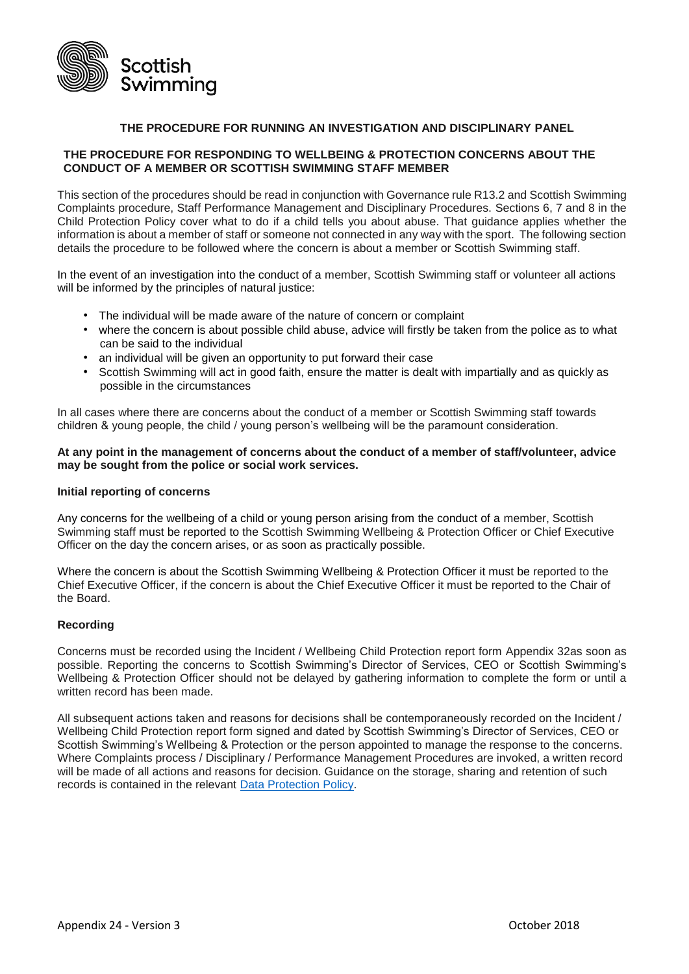

## **THE PROCEDURE FOR RUNNING AN INVESTIGATION AND DISCIPLINARY PANEL**

## **THE PROCEDURE FOR RESPONDING TO WELLBEING & PROTECTION CONCERNS ABOUT THE CONDUCT OF A MEMBER OR SCOTTISH SWIMMING STAFF MEMBER**

This section of the procedures should be read in conjunction with Governance rule R13.2 and Scottish Swimming Complaints procedure, Staff Performance Management and Disciplinary Procedures. Sections 6, 7 and 8 in the Child Protection Policy cover what to do if a child tells you about abuse. That guidance applies whether the information is about a member of staff or someone not connected in any way with the sport. The following section details the procedure to be followed where the concern is about a member or Scottish Swimming staff.

In the event of an investigation into the conduct of a member, Scottish Swimming staff or volunteer all actions will be informed by the principles of natural justice:

- The individual will be made aware of the nature of concern or complaint
- where the concern is about possible child abuse, advice will firstly be taken from the police as to what can be said to the individual
- an individual will be given an opportunity to put forward their case
- Scottish Swimming will act in good faith, ensure the matter is dealt with impartially and as quickly as possible in the circumstances

In all cases where there are concerns about the conduct of a member or Scottish Swimming staff towards children & young people, the child / young person's wellbeing will be the paramount consideration.

### **At any point in the management of concerns about the conduct of a member of staff/volunteer, advice may be sought from the police or social work services.**

#### **Initial reporting of concerns**

Any concerns for the wellbeing of a child or young person arising from the conduct of a member, Scottish Swimming staff must be reported to the Scottish Swimming Wellbeing & Protection Officer or Chief Executive Officer on the day the concern arises, or as soon as practically possible.

Where the concern is about the Scottish Swimming Wellbeing & Protection Officer it must be reported to the Chief Executive Officer, if the concern is about the Chief Executive Officer it must be reported to the Chair of the Board.

### **Recording**

Concerns must be recorded using the Incident / Wellbeing Child Protection report form Appendix 32as soon as possible. Reporting the concerns to Scottish Swimming's Director of Services, CEO or Scottish Swimming's Wellbeing & Protection Officer should not be delayed by gathering information to complete the form or until a written record has been made.

All subsequent actions taken and reasons for decisions shall be contemporaneously recorded on the Incident / Wellbeing Child Protection report form signed and dated by Scottish Swimming's Director of Services, CEO or Scottish Swimming's Wellbeing & Protection or the person appointed to manage the response to the concerns. Where Complaints process / Disciplinary / Performance Management Procedures are invoked, a written record will be made of all actions and reasons for decision. Guidance on the storage, sharing and retention of such records is contained in the relevant [Data Protection Policy.](https://www.scottishswimming.com/about-us/data-protection.aspx)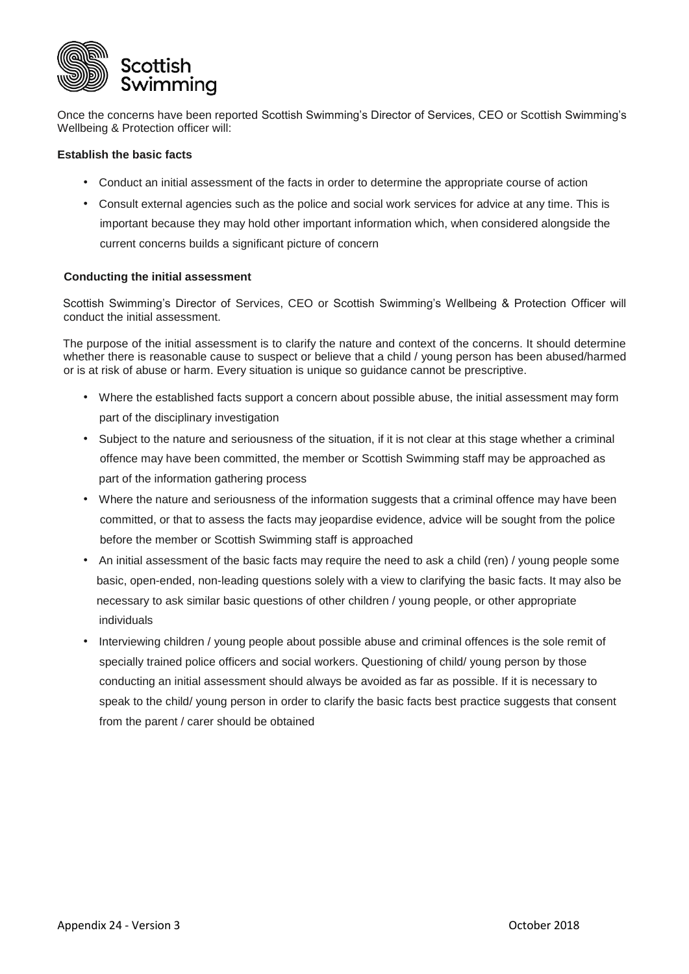

Once the concerns have been reported Scottish Swimming's Director of Services, CEO or Scottish Swimming's Wellbeing & Protection officer will:

### **Establish the basic facts**

- Conduct an initial assessment of the facts in order to determine the appropriate course of action
- Consult external agencies such as the police and social work services for advice at any time. This is important because they may hold other important information which, when considered alongside the current concerns builds a significant picture of concern

### **Conducting the initial assessment**

Scottish Swimming's Director of Services, CEO or Scottish Swimming's Wellbeing & Protection Officer will conduct the initial assessment.

The purpose of the initial assessment is to clarify the nature and context of the concerns. It should determine whether there is reasonable cause to suspect or believe that a child / young person has been abused/harmed or is at risk of abuse or harm. Every situation is unique so guidance cannot be prescriptive.

- Where the established facts support a concern about possible abuse, the initial assessment may form part of the disciplinary investigation
- Subject to the nature and seriousness of the situation, if it is not clear at this stage whether a criminal offence may have been committed, the member or Scottish Swimming staff may be approached as part of the information gathering process
- Where the nature and seriousness of the information suggests that a criminal offence may have been committed, or that to assess the facts may jeopardise evidence, advice will be sought from the police before the member or Scottish Swimming staff is approached
- An initial assessment of the basic facts may require the need to ask a child (ren) / young people some basic, open-ended, non-leading questions solely with a view to clarifying the basic facts. It may also be necessary to ask similar basic questions of other children / young people, or other appropriate individuals
- Interviewing children / young people about possible abuse and criminal offences is the sole remit of specially trained police officers and social workers. Questioning of child/ young person by those conducting an initial assessment should always be avoided as far as possible. If it is necessary to speak to the child/ young person in order to clarify the basic facts best practice suggests that consent from the parent / carer should be obtained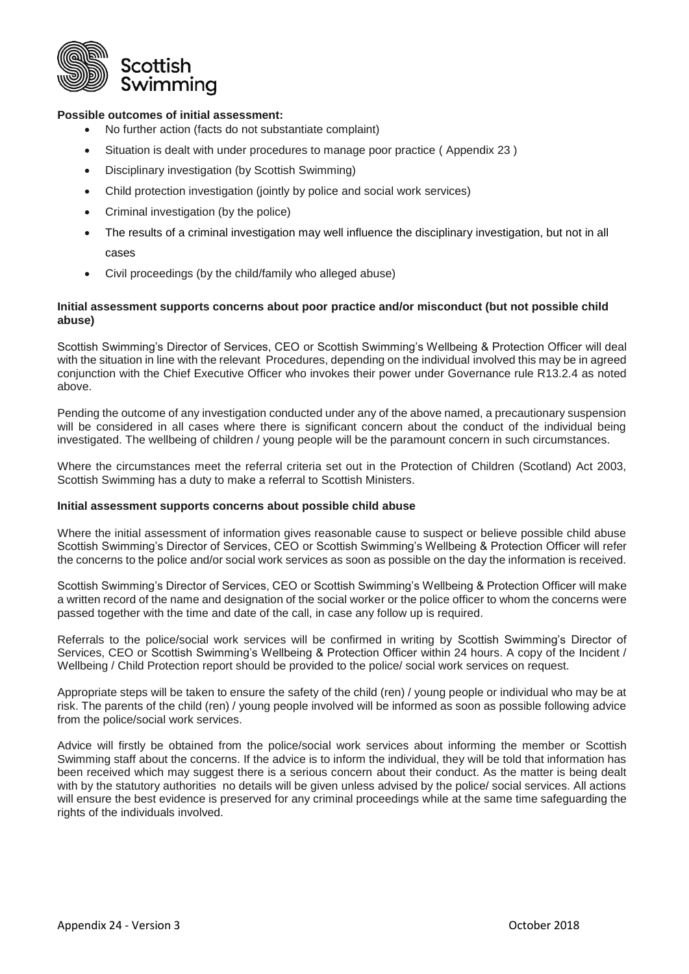

## **Possible outcomes of initial assessment:**

- No further action (facts do not substantiate complaint)
- Situation is dealt with under procedures to manage poor practice ( Appendix 23 )
- Disciplinary investigation (by Scottish Swimming)
- Child protection investigation (jointly by police and social work services)
- Criminal investigation (by the police)
- The results of a criminal investigation may well influence the disciplinary investigation, but not in all cases

Civil proceedings (by the child/family who alleged abuse)

### **Initial assessment supports concerns about poor practice and/or misconduct (but not possible child abuse)**

Scottish Swimming's Director of Services, CEO or Scottish Swimming's Wellbeing & Protection Officer will deal with the situation in line with the relevant Procedures, depending on the individual involved this may be in agreed conjunction with the Chief Executive Officer who invokes their power under Governance rule R13.2.4 as noted above.

Pending the outcome of any investigation conducted under any of the above named, a precautionary suspension will be considered in all cases where there is significant concern about the conduct of the individual being investigated. The wellbeing of children / young people will be the paramount concern in such circumstances.

Where the circumstances meet the referral criteria set out in the Protection of Children (Scotland) Act 2003, Scottish Swimming has a duty to make a referral to Scottish Ministers.

### **Initial assessment supports concerns about possible child abuse**

Where the initial assessment of information gives reasonable cause to suspect or believe possible child abuse Scottish Swimming's Director of Services, CEO or Scottish Swimming's Wellbeing & Protection Officer will refer the concerns to the police and/or social work services as soon as possible on the day the information is received.

Scottish Swimming's Director of Services, CEO or Scottish Swimming's Wellbeing & Protection Officer will make a written record of the name and designation of the social worker or the police officer to whom the concerns were passed together with the time and date of the call, in case any follow up is required.

Referrals to the police/social work services will be confirmed in writing by Scottish Swimming's Director of Services, CEO or Scottish Swimming's Wellbeing & Protection Officer within 24 hours. A copy of the Incident / Wellbeing / Child Protection report should be provided to the police/ social work services on request.

Appropriate steps will be taken to ensure the safety of the child (ren) / young people or individual who may be at risk. The parents of the child (ren) / young people involved will be informed as soon as possible following advice from the police/social work services.

Advice will firstly be obtained from the police/social work services about informing the member or Scottish Swimming staff about the concerns. If the advice is to inform the individual, they will be told that information has been received which may suggest there is a serious concern about their conduct. As the matter is being dealt with by the statutory authorities no details will be given unless advised by the police/ social services. All actions will ensure the best evidence is preserved for any criminal proceedings while at the same time safeguarding the rights of the individuals involved.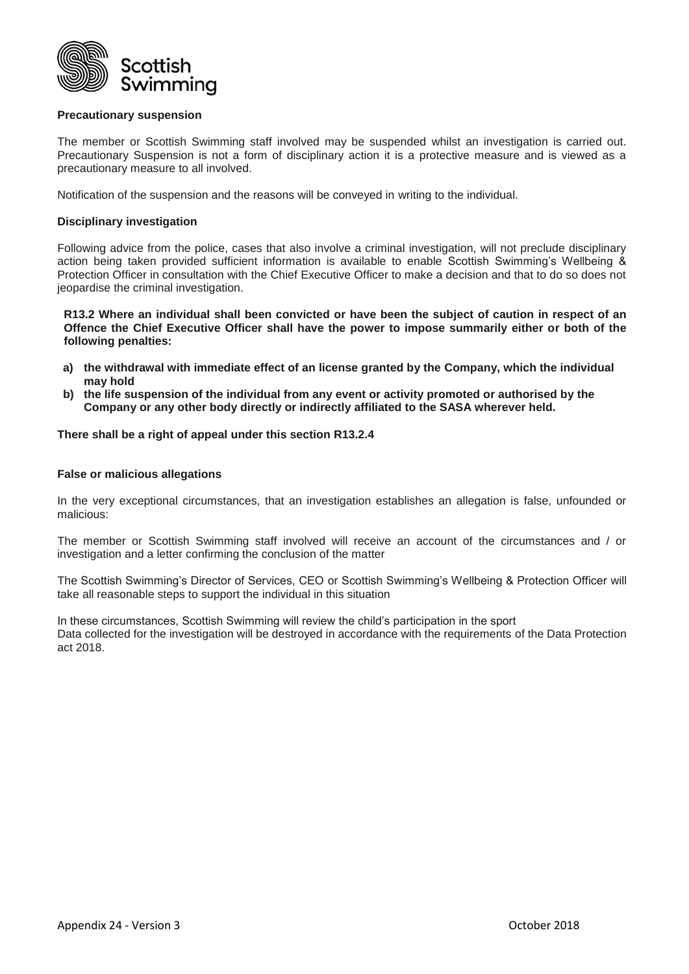

### **Precautionary suspension**

The member or Scottish Swimming staff involved may be suspended whilst an investigation is carried out. Precautionary Suspension is not a form of disciplinary action it is a protective measure and is viewed as a precautionary measure to all involved.

Notification of the suspension and the reasons will be conveyed in writing to the individual.

### **Disciplinary investigation**

Following advice from the police, cases that also involve a criminal investigation, will not preclude disciplinary action being taken provided sufficient information is available to enable Scottish Swimming's Wellbeing & Protection Officer in consultation with the Chief Executive Officer to make a decision and that to do so does not jeopardise the criminal investigation.

**R13.2 Where an individual shall been convicted or have been the subject of caution in respect of an Offence the Chief Executive Officer shall have the power to impose summarily either or both of the following penalties:**

- **a) the withdrawal with immediate effect of an license granted by the Company, which the individual may hold**
- **b) the life suspension of the individual from any event or activity promoted or authorised by the Company or any other body directly or indirectly affiliated to the SASA wherever held.**

**There shall be a right of appeal under this section R13.2.4**

### **False or malicious allegations**

In the very exceptional circumstances, that an investigation establishes an allegation is false, unfounded or malicious:

The member or Scottish Swimming staff involved will receive an account of the circumstances and / or investigation and a letter confirming the conclusion of the matter

The Scottish Swimming's Director of Services, CEO or Scottish Swimming's Wellbeing & Protection Officer will take all reasonable steps to support the individual in this situation

In these circumstances, Scottish Swimming will review the child's participation in the sport Data collected for the investigation will be destroyed in accordance with the requirements of the Data Protection act 2018.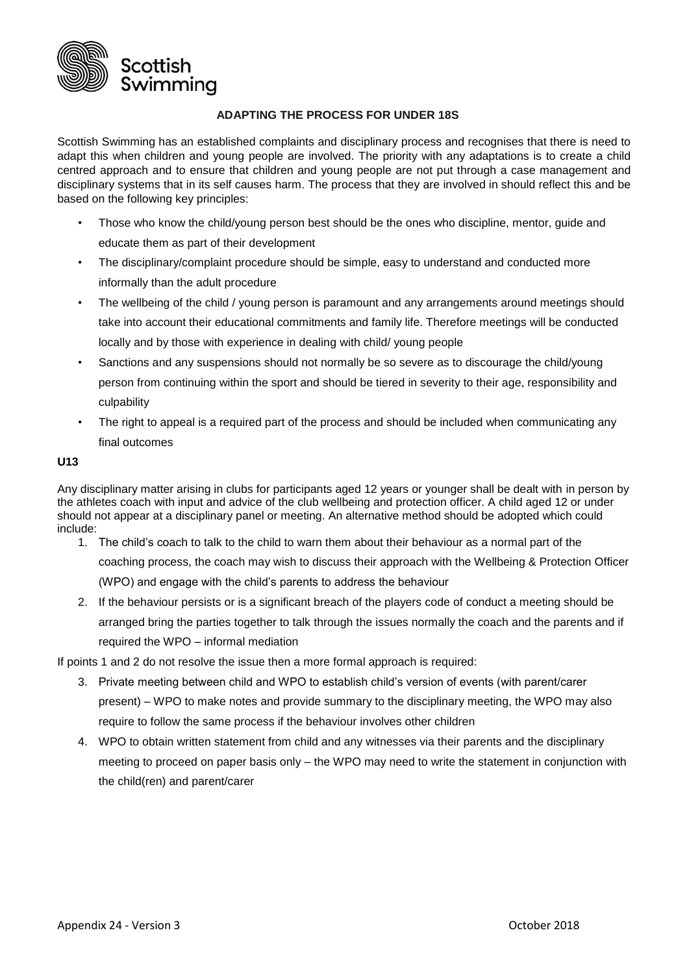

## **ADAPTING THE PROCESS FOR UNDER 18S**

Scottish Swimming has an established complaints and disciplinary process and recognises that there is need to adapt this when children and young people are involved. The priority with any adaptations is to create a child centred approach and to ensure that children and young people are not put through a case management and disciplinary systems that in its self causes harm. The process that they are involved in should reflect this and be based on the following key principles:

- Those who know the child/young person best should be the ones who discipline, mentor, guide and educate them as part of their development
- The disciplinary/complaint procedure should be simple, easy to understand and conducted more informally than the adult procedure
- The wellbeing of the child / young person is paramount and any arrangements around meetings should take into account their educational commitments and family life. Therefore meetings will be conducted locally and by those with experience in dealing with child/ young people
- Sanctions and any suspensions should not normally be so severe as to discourage the child/young person from continuing within the sport and should be tiered in severity to their age, responsibility and culpability
- The right to appeal is a required part of the process and should be included when communicating any final outcomes

### **U13**

Any disciplinary matter arising in clubs for participants aged 12 years or younger shall be dealt with in person by the athletes coach with input and advice of the club wellbeing and protection officer. A child aged 12 or under should not appear at a disciplinary panel or meeting. An alternative method should be adopted which could include:

- 1. The child's coach to talk to the child to warn them about their behaviour as a normal part of the coaching process, the coach may wish to discuss their approach with the Wellbeing & Protection Officer (WPO) and engage with the child's parents to address the behaviour
- 2. If the behaviour persists or is a significant breach of the players code of conduct a meeting should be arranged bring the parties together to talk through the issues normally the coach and the parents and if required the WPO – informal mediation

If points 1 and 2 do not resolve the issue then a more formal approach is required:

- 3. Private meeting between child and WPO to establish child's version of events (with parent/carer present) – WPO to make notes and provide summary to the disciplinary meeting, the WPO may also require to follow the same process if the behaviour involves other children
- 4. WPO to obtain written statement from child and any witnesses via their parents and the disciplinary meeting to proceed on paper basis only – the WPO may need to write the statement in conjunction with the child(ren) and parent/carer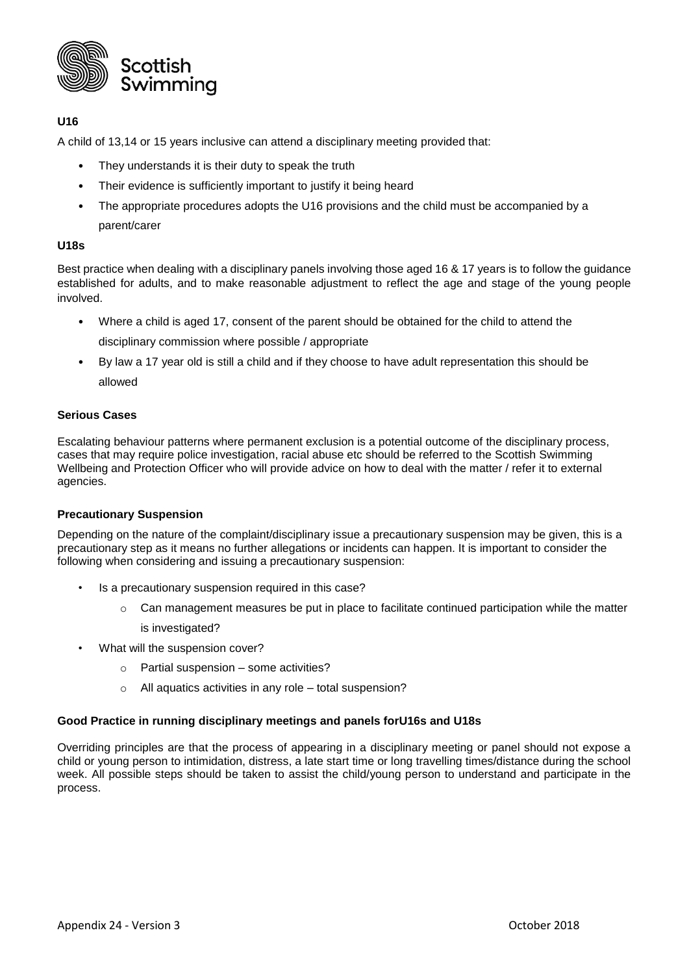

# **U16**

A child of 13,14 or 15 years inclusive can attend a disciplinary meeting provided that:

- They understands it is their duty to speak the truth
- Their evidence is sufficiently important to justify it being heard
- The appropriate procedures adopts the U16 provisions and the child must be accompanied by a parent/carer

### **U18s**

Best practice when dealing with a disciplinary panels involving those aged 16 & 17 years is to follow the guidance established for adults, and to make reasonable adjustment to reflect the age and stage of the young people involved.

- Where a child is aged 17, consent of the parent should be obtained for the child to attend the disciplinary commission where possible / appropriate
- By law a 17 year old is still a child and if they choose to have adult representation this should be allowed

### **Serious Cases**

Escalating behaviour patterns where permanent exclusion is a potential outcome of the disciplinary process, cases that may require police investigation, racial abuse etc should be referred to the Scottish Swimming Wellbeing and Protection Officer who will provide advice on how to deal with the matter / refer it to external agencies.

### **Precautionary Suspension**

Depending on the nature of the complaint/disciplinary issue a precautionary suspension may be given, this is a precautionary step as it means no further allegations or incidents can happen. It is important to consider the following when considering and issuing a precautionary suspension:

- Is a precautionary suspension required in this case?
	- $\circ$  Can management measures be put in place to facilitate continued participation while the matter is investigated?
- What will the suspension cover?
	- o Partial suspension some activities?
	- o All aquatics activities in any role total suspension?

### **Good Practice in running disciplinary meetings and panels forU16s and U18s**

Overriding principles are that the process of appearing in a disciplinary meeting or panel should not expose a child or young person to intimidation, distress, a late start time or long travelling times/distance during the school week. All possible steps should be taken to assist the child/young person to understand and participate in the process.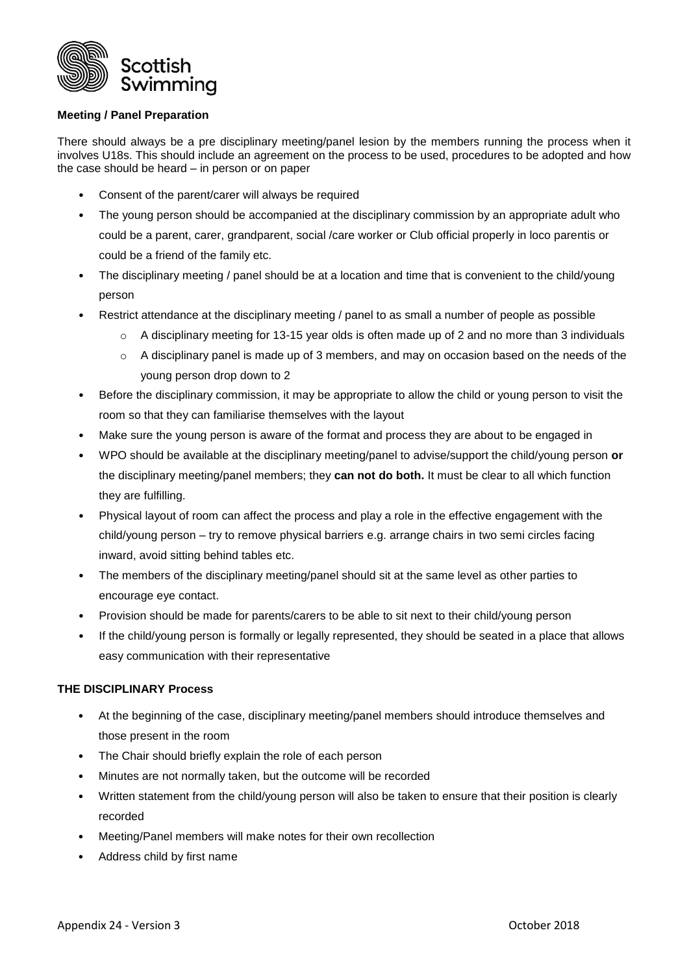

## **Meeting / Panel Preparation**

There should always be a pre disciplinary meeting/panel lesion by the members running the process when it involves U18s. This should include an agreement on the process to be used, procedures to be adopted and how the case should be heard – in person or on paper

- Consent of the parent/carer will always be required
- The young person should be accompanied at the disciplinary commission by an appropriate adult who could be a parent, carer, grandparent, social /care worker or Club official properly in loco parentis or could be a friend of the family etc.
- The disciplinary meeting / panel should be at a location and time that is convenient to the child/young person
- Restrict attendance at the disciplinary meeting / panel to as small a number of people as possible
	- $\circ$  A disciplinary meeting for 13-15 year olds is often made up of 2 and no more than 3 individuals
	- $\circ$  A disciplinary panel is made up of 3 members, and may on occasion based on the needs of the young person drop down to 2
- Before the disciplinary commission, it may be appropriate to allow the child or young person to visit the room so that they can familiarise themselves with the layout
- Make sure the young person is aware of the format and process they are about to be engaged in
- WPO should be available at the disciplinary meeting/panel to advise/support the child/young person **or** the disciplinary meeting/panel members; they **can not do both.** It must be clear to all which function they are fulfilling.
- Physical layout of room can affect the process and play a role in the effective engagement with the child/young person – try to remove physical barriers e.g. arrange chairs in two semi circles facing inward, avoid sitting behind tables etc.
- The members of the disciplinary meeting/panel should sit at the same level as other parties to encourage eye contact.
- Provision should be made for parents/carers to be able to sit next to their child/young person
- If the child/young person is formally or legally represented, they should be seated in a place that allows easy communication with their representative

## **THE DISCIPLINARY Process**

- At the beginning of the case, disciplinary meeting/panel members should introduce themselves and those present in the room
- The Chair should briefly explain the role of each person
- Minutes are not normally taken, but the outcome will be recorded
- Written statement from the child/young person will also be taken to ensure that their position is clearly recorded
- Meeting/Panel members will make notes for their own recollection
- Address child by first name